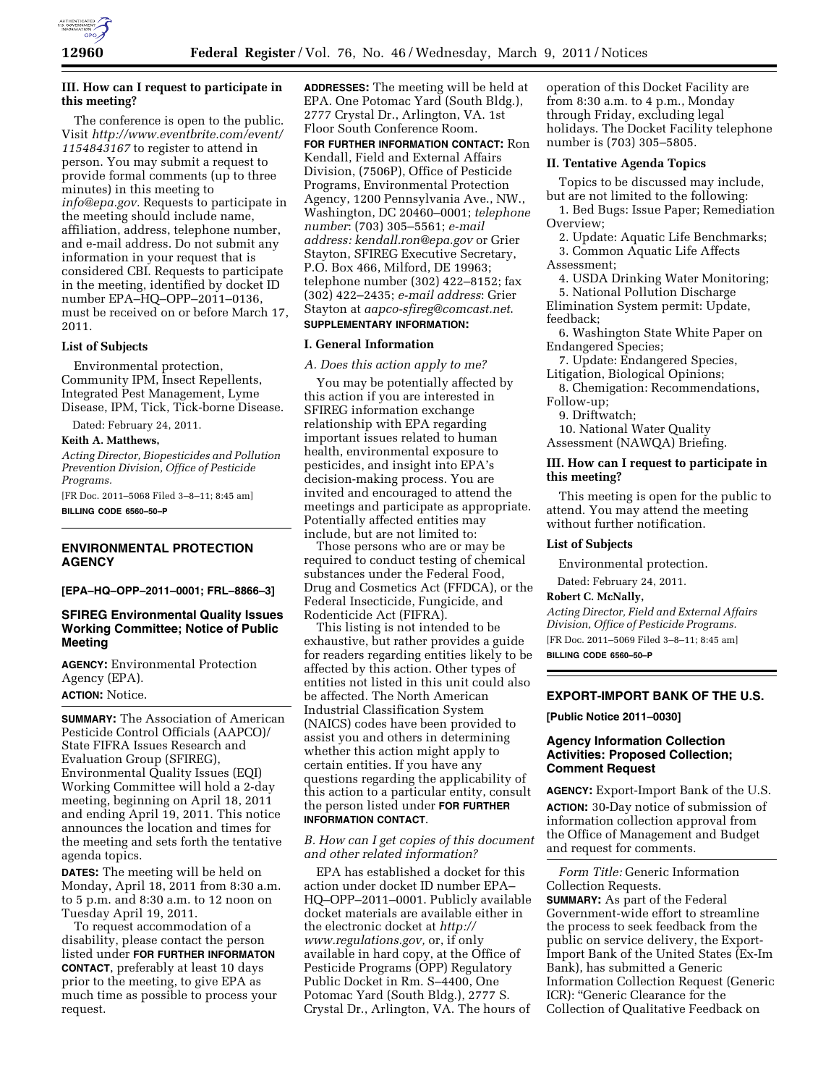

## **III. How can I request to participate in this meeting?**

The conference is open to the public. Visit *[http://www.eventbrite.com/event/](http://www.eventbrite.com/event/1154843167)  [1154843167](http://www.eventbrite.com/event/1154843167)* to register to attend in person. You may submit a request to provide formal comments (up to three minutes) in this meeting to *[info@epa.gov.](mailto:info@epa.gov)* Requests to participate in the meeting should include name, affiliation, address, telephone number, and e-mail address. Do not submit any information in your request that is considered CBI. Requests to participate in the meeting, identified by docket ID number EPA–HQ–OPP–2011–0136, must be received on or before March 17, 2011.

#### **List of Subjects**

Environmental protection, Community IPM, Insect Repellents, Integrated Pest Management, Lyme Disease, IPM, Tick, Tick-borne Disease.

Dated: February 24, 2011.

#### **Keith A. Matthews,**

*Acting Director, Biopesticides and Pollution Prevention Division, Office of Pesticide Programs.* 

[FR Doc. 2011–5068 Filed 3–8–11; 8:45 am] **BILLING CODE 6560–50–P** 

# **ENVIRONMENTAL PROTECTION AGENCY**

**[EPA–HQ–OPP–2011–0001; FRL–8866–3]** 

## **SFIREG Environmental Quality Issues Working Committee; Notice of Public Meeting**

**AGENCY:** Environmental Protection Agency (EPA). **ACTION:** Notice.

**SUMMARY:** The Association of American Pesticide Control Officials (AAPCO)/ State FIFRA Issues Research and Evaluation Group (SFIREG), Environmental Quality Issues (EQI) Working Committee will hold a 2-day meeting, beginning on April 18, 2011 and ending April 19, 2011. This notice announces the location and times for the meeting and sets forth the tentative agenda topics.

**DATES:** The meeting will be held on Monday, April 18, 2011 from 8:30 a.m. to 5 p.m. and 8:30 a.m. to 12 noon on Tuesday April 19, 2011.

To request accommodation of a disability, please contact the person listed under **FOR FURTHER INFORMATON CONTACT**, preferably at least 10 days prior to the meeting, to give EPA as much time as possible to process your request.

**ADDRESSES:** The meeting will be held at EPA. One Potomac Yard (South Bldg.), 2777 Crystal Dr., Arlington, VA. 1st Floor South Conference Room. **FOR FURTHER INFORMATION CONTACT:** Ron Kendall, Field and External Affairs Division, (7506P), Office of Pesticide Programs, Environmental Protection Agency, 1200 Pennsylvania Ave., NW., Washington, DC 20460–0001; *telephone number*: (703) 305–5561; *e-mail* 

*address: [kendall.ron@epa.gov](mailto:kendall.ron@epa.gov)* or Grier Stayton, SFIREG Executive Secretary, P.O. Box 466, Milford, DE 19963; telephone number (302) 422–8152; fax (302) 422–2435; *e-mail address*: Grier Stayton at *[aapco-sfireg@comcast.net](mailto:aapco-sfireg@comcast.net)*.

# **SUPPLEMENTARY INFORMATION:**

## **I. General Information**

#### *A. Does this action apply to me?*

You may be potentially affected by this action if you are interested in SFIREG information exchange relationship with EPA regarding important issues related to human health, environmental exposure to pesticides, and insight into EPA's decision-making process. You are invited and encouraged to attend the meetings and participate as appropriate. Potentially affected entities may include, but are not limited to:

Those persons who are or may be required to conduct testing of chemical substances under the Federal Food, Drug and Cosmetics Act (FFDCA), or the Federal Insecticide, Fungicide, and Rodenticide Act (FIFRA).

This listing is not intended to be exhaustive, but rather provides a guide for readers regarding entities likely to be affected by this action. Other types of entities not listed in this unit could also be affected. The North American Industrial Classification System (NAICS) codes have been provided to assist you and others in determining whether this action might apply to certain entities. If you have any questions regarding the applicability of this action to a particular entity, consult the person listed under **FOR FURTHER INFORMATION CONTACT**.

#### *B. How can I get copies of this document and other related information?*

EPA has established a docket for this action under docket ID number EPA– HQ–OPP–2011–0001. Publicly available docket materials are available either in the electronic docket at *[http://](http://www.regulations.gov) [www.regulations.gov,](http://www.regulations.gov)* or, if only available in hard copy, at the Office of Pesticide Programs (OPP) Regulatory Public Docket in Rm. S–4400, One Potomac Yard (South Bldg.), 2777 S. Crystal Dr., Arlington, VA. The hours of

operation of this Docket Facility are from 8:30 a.m. to 4 p.m., Monday through Friday, excluding legal holidays. The Docket Facility telephone number is (703) 305–5805.

#### **II. Tentative Agenda Topics**

Topics to be discussed may include, but are not limited to the following:

1. Bed Bugs: Issue Paper; Remediation Overview;

2. Update: Aquatic Life Benchmarks; 3. Common Aquatic Life Affects Assessment;

4. USDA Drinking Water Monitoring; 5. National Pollution Discharge

Elimination System permit: Update, feedback;

6. Washington State White Paper on Endangered Species;

- 7. Update: Endangered Species, Litigation, Biological Opinions;
- 8. Chemigation: Recommendations, Follow-up;

9. Driftwatch;

10. National Water Quality

Assessment (NAWQA) Briefing.

## **III. How can I request to participate in this meeting?**

This meeting is open for the public to attend. You may attend the meeting without further notification.

## **List of Subjects**

Environmental protection.

Dated: February 24, 2011.

# **Robert C. McNally,**

*Acting Director, Field and External Affairs Division, Office of Pesticide Programs.*  [FR Doc. 2011–5069 Filed 3–8–11; 8:45 am]

**BILLING CODE 6560–50–P** 

## **EXPORT-IMPORT BANK OF THE U.S.**

**[Public Notice 2011–0030]** 

## **Agency Information Collection Activities: Proposed Collection; Comment Request**

**AGENCY:** Export-Import Bank of the U.S. **ACTION:** 30-Day notice of submission of information collection approval from the Office of Management and Budget and request for comments.

*Form Title:* Generic Information Collection Requests.

**SUMMARY:** As part of the Federal Government-wide effort to streamline the process to seek feedback from the public on service delivery, the Export-Import Bank of the United States (Ex-Im Bank), has submitted a Generic Information Collection Request (Generic ICR): ''Generic Clearance for the Collection of Qualitative Feedback on